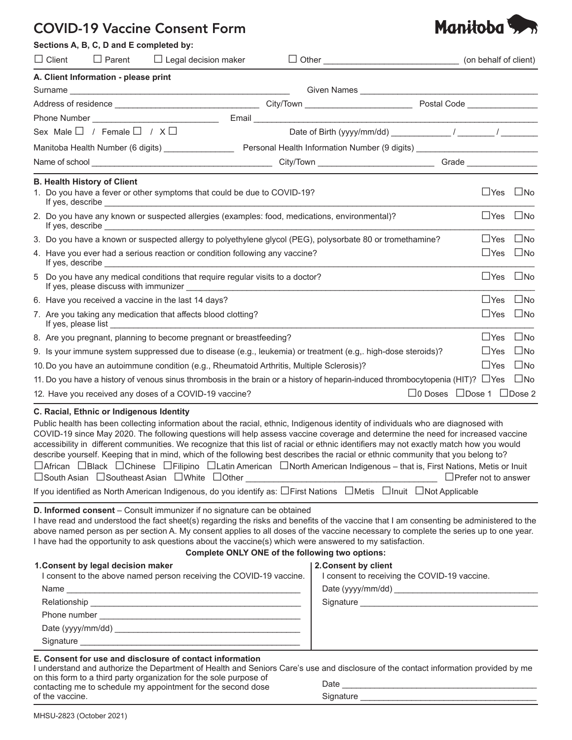## COVID-19 Vaccine Consent Form

|                  | Sections A, B, C, D and E completed by:    |                                                                                                                                                                                                                                                                                                              |                                                                                                                                                |                                            |                      |              |
|------------------|--------------------------------------------|--------------------------------------------------------------------------------------------------------------------------------------------------------------------------------------------------------------------------------------------------------------------------------------------------------------|------------------------------------------------------------------------------------------------------------------------------------------------|--------------------------------------------|----------------------|--------------|
| $\Box$ Client    | $\Box$ Parent                              | $\Box$ Legal decision maker                                                                                                                                                                                                                                                                                  |                                                                                                                                                |                                            |                      |              |
|                  | A. Client Information - please print       |                                                                                                                                                                                                                                                                                                              |                                                                                                                                                |                                            |                      |              |
|                  |                                            |                                                                                                                                                                                                                                                                                                              |                                                                                                                                                |                                            |                      |              |
|                  |                                            |                                                                                                                                                                                                                                                                                                              |                                                                                                                                                |                                            |                      |              |
|                  |                                            | Phone Number <u>Number</u>                                                                                                                                                                                                                                                                                   |                                                                                                                                                |                                            |                      |              |
|                  | Sex Male $\Box$ / Female $\Box$ / $X \Box$ |                                                                                                                                                                                                                                                                                                              | Date of Birth (yyyy/mm/dd) $\frac{1}{2}$ / $\frac{1}{2}$ /                                                                                     |                                            |                      |              |
|                  |                                            |                                                                                                                                                                                                                                                                                                              |                                                                                                                                                |                                            |                      |              |
|                  |                                            |                                                                                                                                                                                                                                                                                                              |                                                                                                                                                |                                            |                      |              |
|                  | <b>B. Health History of Client</b>         |                                                                                                                                                                                                                                                                                                              |                                                                                                                                                |                                            |                      |              |
| If yes, describe |                                            | 1. Do you have a fever or other symptoms that could be due to COVID-19?<br><u> 1989 - Johann Stein, fransk politiker (d. 1989)</u>                                                                                                                                                                           |                                                                                                                                                |                                            | $\Box$ Yes $\Box$ No |              |
|                  |                                            | If yes, describe <u>experimental and the set of the set of the set of the set of the set of the set of the set of the set of the set of the set of the set of the set of the set of the set of the set of the set of the set of </u>                                                                         | 2. Do you have any known or suspected allergies (examples: food, medications, environmental)?                                                  |                                            | $\Box$ Yes $\Box$ No |              |
|                  |                                            |                                                                                                                                                                                                                                                                                                              | 3. Do you have a known or suspected allergy to polyethylene glycol (PEG), polysorbate 80 or tromethamine?                                      |                                            | $\Box$ Yes           | $\square$ No |
|                  |                                            | 4. Have you ever had a serious reaction or condition following any vaccine?<br>If yes, describe the state of the state of the state of the state of the state of the state of the state of the state of the state of the state of the state of the state of the state of the state of the state of the state |                                                                                                                                                |                                            | $\Box$ Yes $\Box$ No |              |
|                  |                                            | 5 Do you have any medical conditions that require regular visits to a doctor?<br>If yes, please discuss with immunizer ____________                                                                                                                                                                          |                                                                                                                                                |                                            | $\Box$ Yes $\Box$ No |              |
|                  |                                            | 6. Have you received a vaccine in the last 14 days?                                                                                                                                                                                                                                                          |                                                                                                                                                |                                            | $\Box$ Yes $\Box$ No |              |
|                  |                                            | 7. Are you taking any medication that affects blood clotting?                                                                                                                                                                                                                                                |                                                                                                                                                |                                            | $\Box$ Yes           | $\Box$ No    |
|                  |                                            | 8. Are you pregnant, planning to become pregnant or breastfeeding?                                                                                                                                                                                                                                           |                                                                                                                                                |                                            | $\Box$ Yes           | $\Box$ No    |
|                  |                                            |                                                                                                                                                                                                                                                                                                              | 9. Is your immune system suppressed due to disease (e.g., leukemia) or treatment (e.g., high-dose steroids)?                                   |                                            | $\Box$ Yes           | $\square$ No |
|                  |                                            | 10. Do you have an autoimmune condition (e.g., Rheumatoid Arthritis, Multiple Sclerosis)?                                                                                                                                                                                                                    |                                                                                                                                                |                                            | $\Box$ Yes           | $\square$ No |
|                  |                                            |                                                                                                                                                                                                                                                                                                              | 11. Do you have a history of venous sinus thrombosis in the brain or a history of heparin-induced thrombocytopenia (HIT)? $\Box$ Yes $\Box$ No |                                            |                      |              |
|                  |                                            | 12. Have you received any doses of a COVID-19 vaccine?                                                                                                                                                                                                                                                       |                                                                                                                                                | $\Box$ 0 Doses $\Box$ Dose 1 $\Box$ Dose 2 |                      |              |
|                  | C. Racial, Ethnic or Indigenous Identity   |                                                                                                                                                                                                                                                                                                              | Public health has been collecting information about the racial, ethnic, Indigenous identity of individuals who are diagnosed with              |                                            |                      |              |

| COVID-19 since May 2020. The following questions will help assess vaccine coverage and determine the need for increased vaccine                            |
|------------------------------------------------------------------------------------------------------------------------------------------------------------|
| accessibility in different communities. We recognize that this list of racial or ethnic identifiers may not exactly match how you would                    |
| describe yourself. Keeping that in mind, which of the following best describes the racial or ethnic community that you belong to?                          |
| $\Box$ African $\Box$ Black $\Box$ Chinese $\Box$ Filipino $\Box$ Latin American $\Box$ North American Indigenous – that is, First Nations, Metis or Inuit |
| $\Box$ South Asian $\Box$ Southeast Asian $\Box$ White $\Box$ Other<br>$\Box$ Prefer not to answer                                                         |
| If you identified as North American Indigenous, do you identify as: OFirst Nations OMetis OInuit ONot Applicable                                           |

## **D. Informed consent** – Consult immunizer if no signature can be obtained

I have read and understood the fact sheet(s) regarding the risks and benefits of the vaccine that I am consenting be administered to the above named person as per section A. My consent applies to all doses of the vaccine necessary to complete the series up to one year. I have had the opportunity to ask questions about the vaccine(s) which were answered to my satisfaction.

## **Complete ONLY ONE of the following two options:**

| 1. Consent by legal decision maker<br>I consent to the above named person receiving the COVID-19 vaccine. |
|-----------------------------------------------------------------------------------------------------------|
|                                                                                                           |
|                                                                                                           |
| Phone number                                                                                              |
| Date (yyyy/mm/dd)                                                                                         |
| Signature                                                                                                 |

| 2. Consent by client  |  |
|-----------------------|--|
| I consent to receivin |  |

| I consent to receiving the COVID-19 vaccine. |  |
|----------------------------------------------|--|
|----------------------------------------------|--|

Signature **Example 2018** 

Date (yyyy/mm/dd) \_\_\_\_\_\_\_\_\_\_\_\_\_\_\_\_\_\_\_\_\_\_\_\_\_\_\_\_\_\_\_

## **E. Consent for use and disclosure of contact information**

| I understand and authorize the Department of Health and Seniors Care's use and disclosure of the contact information provided by me |           |
|-------------------------------------------------------------------------------------------------------------------------------------|-----------|
| on this form to a third party organization for the sole purpose of<br>contacting me to schedule my appointment for the second dose  | Date      |
| of the vaccine.                                                                                                                     | Signature |